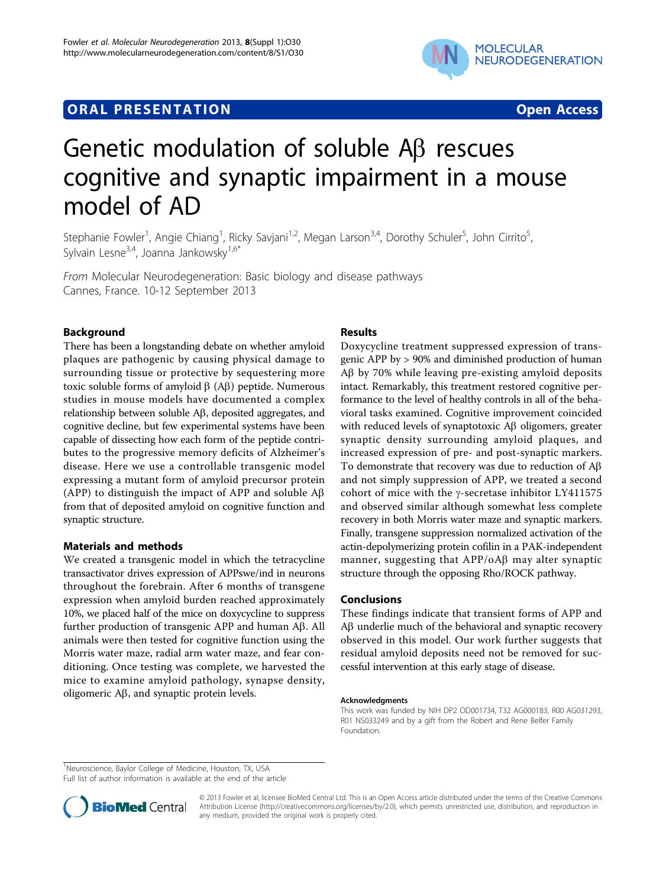## **ORAL PRESENTATION OPEN ACCESS**



# Genetic modulation of soluble  $AB$  rescues cognitive and synaptic impairment in a mouse model of AD

Stephanie Fowler<sup>1</sup>, Angie Chiang<sup>1</sup>, Ricky Savjani<sup>1,2</sup>, Megan Larson<sup>3,4</sup>, Dorothy Schuler<sup>5</sup>, John Cirrito<sup>5</sup> , Sylvain Lesne<sup>3,4</sup>, Joanna Jankowsky<sup>1,6\*</sup>

From Molecular Neurodegeneration: Basic biology and disease pathways Cannes, France. 10-12 September 2013

### Background

There has been a longstanding debate on whether amyloid plaques are pathogenic by causing physical damage to surrounding tissue or protective by sequestering more toxic soluble forms of amyloid  $\beta$  (A $\beta$ ) peptide. Numerous studies in mouse models have documented a complex relationship between soluble Ab, deposited aggregates, and cognitive decline, but few experimental systems have been capable of dissecting how each form of the peptide contributes to the progressive memory deficits of Alzheimer's disease. Here we use a controllable transgenic model expressing a mutant form of amyloid precursor protein (APP) to distinguish the impact of APP and soluble  $\mathsf{A}\beta$ from that of deposited amyloid on cognitive function and synaptic structure.

#### Materials and methods

We created a transgenic model in which the tetracycline transactivator drives expression of APPswe/ind in neurons throughout the forebrain. After 6 months of transgene expression when amyloid burden reached approximately 10%, we placed half of the mice on doxycycline to suppress further production of transgenic APP and human Ab. All animals were then tested for cognitive function using the Morris water maze, radial arm water maze, and fear conditioning. Once testing was complete, we harvested the mice to examine amyloid pathology, synapse density, oligomeric  $\mathbf{A}\beta$ , and synaptic protein levels.

#### Results

Doxycycline treatment suppressed expression of transgenic APP by > 90% and diminished production of human  $\Delta\beta$  by 70% while leaving pre-existing amyloid deposits intact. Remarkably, this treatment restored cognitive performance to the level of healthy controls in all of the behavioral tasks examined. Cognitive improvement coincided with reduced levels of synaptotoxic  $\mathcal{AB}$  oligomers, greater synaptic density surrounding amyloid plaques, and increased expression of pre- and post-synaptic markers. To demonstrate that recovery was due to reduction of  $A\beta$ and not simply suppression of APP, we treated a second cohort of mice with the  $\gamma$ -secretase inhibitor LY411575 and observed similar although somewhat less complete recovery in both Morris water maze and synaptic markers. Finally, transgene suppression normalized activation of the actin-depolymerizing protein cofilin in a PAK-independent manner, suggesting that  $APP/OAB$  may alter synaptic structure through the opposing Rho/ROCK pathway.

#### Conclusions

These findings indicate that transient forms of APP and AB underlie much of the behavioral and synaptic recovery observed in this model. Our work further suggests that residual amyloid deposits need not be removed for successful intervention at this early stage of disease.

#### Acknowledgments

This work was funded by NIH DP2 OD001734, T32 AG000183, R00 AG031293, R01 NS033249 and by a gift from the Robert and Rene Belfer Family Foundation.

<sup>1</sup>Neuroscience, Baylor College of Medicine, Houston, TX, USA

Full list of author information is available at the end of the article



© 2013 Fowler et al; licensee BioMed Central Ltd. This is an Open Access article distributed under the terms of the Creative Commons Attribution License [\(http://creativecommons.org/licenses/by/2.0](http://creativecommons.org/licenses/by/2.0)), which permits unrestricted use, distribution, and reproduction in any medium, provided the original work is properly cited.